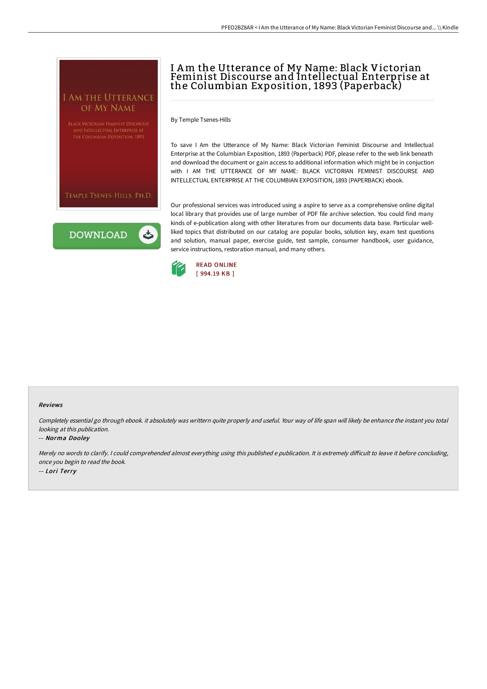

# I Am the Utterance of My Name: Black Victorian Feminist Discourse and Intellectual Enterprise at the Columbian Exposition, 1893 (Paperback)

By Temple Tsenes-Hills

To save I Am the Utterance of My Name: Black Victorian Feminist Discourse and Intellectual Enterprise at the Columbian Exposition, 1893 (Paperback) PDF, please refer to the web link beneath and download the document or gain access to additional information which might be in conjuction with I AM THE UTTERANCE OF MY NAME: BLACK VICTORIAN FEMINIST DISCOURSE AND INTELLECTUAL ENTERPRISE AT THE COLUMBIAN EXPOSITION, 1893 (PAPERBACK) ebook.

Our professional services was introduced using a aspire to serve as a comprehensive online digital local library that provides use of large number of PDF file archive selection. You could find many kinds of e-publication along with other literatures from our documents data base. Particular wellliked topics that distributed on our catalog are popular books, solution key, exam test questions and solution, manual paper, exercise guide, test sample, consumer handbook, user guidance, service instructions, restoration manual, and many others.



#### Reviews

Completely essential go through ebook. it absolutely was writtern quite properly and useful. Your way of life span will likely be enhance the instant you total looking at this publication.

#### -- Norma Dooley

Merely no words to clarify. I could comprehended almost everything using this published e publication. It is extremely difficult to leave it before concluding, once you begin to read the book. -- Lori Terry